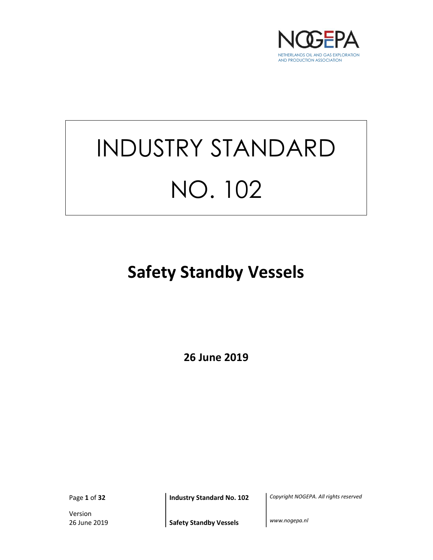

# INDUSTRY STANDARD NO. 102

## Safety Standby Vessels

26 June 2019

Version

Page 1 of 32 **Industry Standard No. 102** Copyright NOGEPA. All rights reserved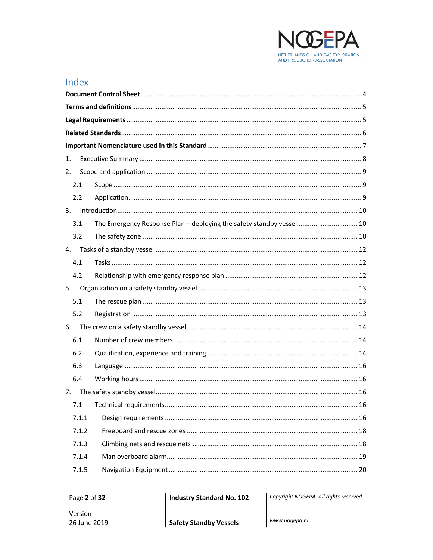

## Index

| 1.    |                                                                      |    |
|-------|----------------------------------------------------------------------|----|
| 2.    |                                                                      |    |
| 2.1   |                                                                      |    |
| 2.2   |                                                                      |    |
|       |                                                                      |    |
| 3.1   | The Emergency Response Plan - deploying the safety standby vessel 10 |    |
| 3.2   |                                                                      |    |
| 4.    |                                                                      |    |
| 4.1   |                                                                      |    |
| 4.2   |                                                                      |    |
| 5.    |                                                                      |    |
| 5.1   |                                                                      |    |
| 5.2   |                                                                      |    |
| 6.    |                                                                      |    |
| 6.1   |                                                                      |    |
| 6.2   |                                                                      |    |
| 6.3   |                                                                      |    |
| 6.4   |                                                                      |    |
| 7.    |                                                                      |    |
| 7.1   | Technical requirements                                               | 16 |
| 7.1.1 |                                                                      |    |
| 7.1.2 |                                                                      |    |
| 7.1.3 |                                                                      |    |
| 7.1.4 |                                                                      |    |
| 7.1.5 |                                                                      |    |

**Industry Standard No. 102** 

Copyright NOGEPA. All rights reserved

www.nogepa.nl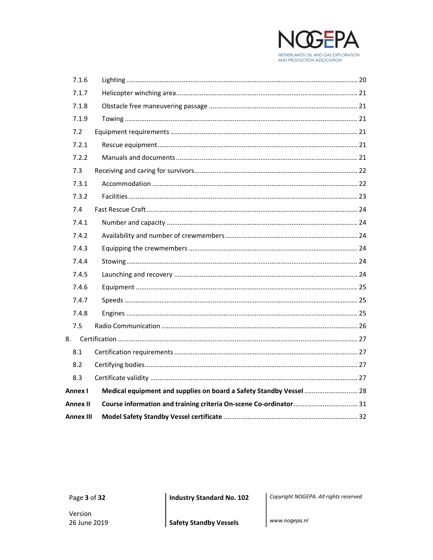

| 7.1.6            |                                                                     |  |
|------------------|---------------------------------------------------------------------|--|
| 7.1.7            |                                                                     |  |
| 7.1.8            |                                                                     |  |
| 7.1.9            |                                                                     |  |
| 7.2              |                                                                     |  |
| 7.2.1            |                                                                     |  |
| 7.2.2            |                                                                     |  |
| 7.3              |                                                                     |  |
| 7.3.1            |                                                                     |  |
| 7.3.2            |                                                                     |  |
| 7.4              |                                                                     |  |
| 7.4.1            |                                                                     |  |
| 7.4.2            |                                                                     |  |
| 7.4.3            |                                                                     |  |
| 7.4.4            |                                                                     |  |
| 7.4.5            |                                                                     |  |
| 7.4.6            |                                                                     |  |
| 7.4.7            |                                                                     |  |
| 7.4.8            |                                                                     |  |
| 7.5              |                                                                     |  |
|                  |                                                                     |  |
| 8.1              |                                                                     |  |
| 8.2              |                                                                     |  |
| 8.3              |                                                                     |  |
| Annex I          | Medical equipment and supplies on board a Safety Standby Vessel  28 |  |
| <b>Annex II</b>  |                                                                     |  |
| <b>Annex III</b> |                                                                     |  |

**Industry Standard No. 102** 

Copyright NOGEPA. All rights reserved

www.nogepa.nl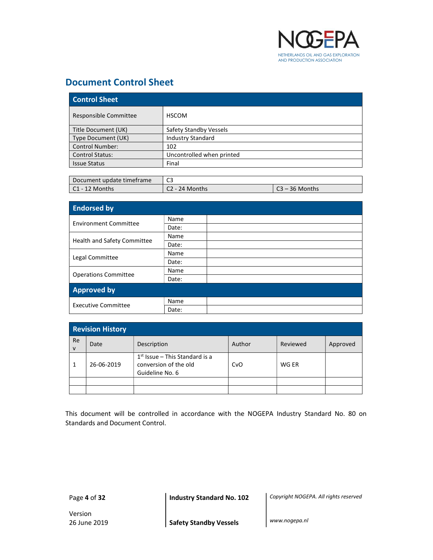

## Document Control Sheet

| <b>Control Sheet</b>   |                           |  |  |
|------------------------|---------------------------|--|--|
| Responsible Committee  | <b>HSCOM</b>              |  |  |
| Title Document (UK)    | Safety Standby Vessels    |  |  |
| Type Document (UK)     | <b>Industry Standard</b>  |  |  |
| <b>Control Number:</b> | 102                       |  |  |
| <b>Control Status:</b> | Uncontrolled when printed |  |  |
| <b>Issue Status</b>    | Final                     |  |  |

| Document update timeframe | $\sim$<br>ີ   |                                        |
|---------------------------|---------------|----------------------------------------|
| $IC1 - 12$ Months         | ? - 24 Months | ∙36 Months<br>$\overline{\phantom{0}}$ |

| <b>Endorsed by</b>          |       |  |
|-----------------------------|-------|--|
| Environment Committee       | Name  |  |
|                             | Date: |  |
|                             | Name  |  |
| Health and Safety Committee | Date: |  |
|                             | Name  |  |
| Legal Committee             | Date: |  |
|                             | Name  |  |
| <b>Operations Committee</b> | Date: |  |
| <b>Approved by</b>          |       |  |
| <b>Executive Committee</b>  | Name  |  |
|                             | Date: |  |

|                           | <b>Revision History</b> |                                                                              |        |          |          |  |
|---------------------------|-------------------------|------------------------------------------------------------------------------|--------|----------|----------|--|
| <b>Re</b><br>$\mathsf{V}$ | Date                    | Description                                                                  | Author | Reviewed | Approved |  |
|                           | 26-06-2019              | $1st$ Issue – This Standard is a<br>conversion of the old<br>Guideline No. 6 | CvO    | WG ER    |          |  |
|                           |                         |                                                                              |        |          |          |  |
|                           |                         |                                                                              |        |          |          |  |

This document will be controlled in accordance with the NOGEPA Industry Standard No. 80 on Standards and Document Control.

Page 4 of 32 **Industry Standard No. 102** Copyright NOGEPA. All rights reserved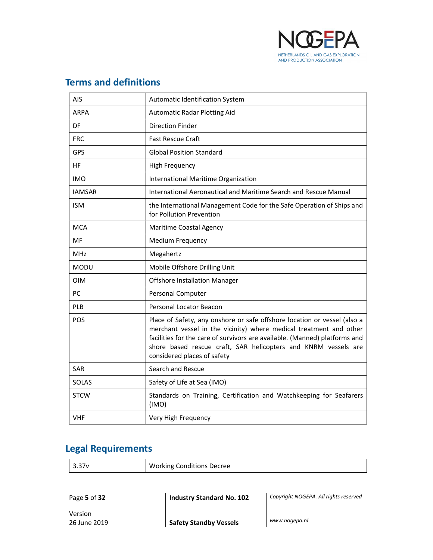

## Terms and definitions

| AIS           | Automatic Identification System                                                                                                                                                                                                                                                                                               |
|---------------|-------------------------------------------------------------------------------------------------------------------------------------------------------------------------------------------------------------------------------------------------------------------------------------------------------------------------------|
| <b>ARPA</b>   | <b>Automatic Radar Plotting Aid</b>                                                                                                                                                                                                                                                                                           |
| DF            | <b>Direction Finder</b>                                                                                                                                                                                                                                                                                                       |
| <b>FRC</b>    | <b>Fast Rescue Craft</b>                                                                                                                                                                                                                                                                                                      |
| <b>GPS</b>    | <b>Global Position Standard</b>                                                                                                                                                                                                                                                                                               |
| HF            | <b>High Frequency</b>                                                                                                                                                                                                                                                                                                         |
| <b>IMO</b>    | International Maritime Organization                                                                                                                                                                                                                                                                                           |
| <b>IAMSAR</b> | International Aeronautical and Maritime Search and Rescue Manual                                                                                                                                                                                                                                                              |
| <b>ISM</b>    | the International Management Code for the Safe Operation of Ships and<br>for Pollution Prevention                                                                                                                                                                                                                             |
| <b>MCA</b>    | Maritime Coastal Agency                                                                                                                                                                                                                                                                                                       |
| MF            | <b>Medium Frequency</b>                                                                                                                                                                                                                                                                                                       |
| <b>MHz</b>    | Megahertz                                                                                                                                                                                                                                                                                                                     |
| <b>MODU</b>   | Mobile Offshore Drilling Unit                                                                                                                                                                                                                                                                                                 |
| <b>OIM</b>    | <b>Offshore Installation Manager</b>                                                                                                                                                                                                                                                                                          |
| PC            | Personal Computer                                                                                                                                                                                                                                                                                                             |
| <b>PLB</b>    | <b>Personal Locator Beacon</b>                                                                                                                                                                                                                                                                                                |
| POS           | Place of Safety, any onshore or safe offshore location or vessel (also a<br>merchant vessel in the vicinity) where medical treatment and other<br>facilities for the care of survivors are available. (Manned) platforms and<br>shore based rescue craft, SAR helicopters and KNRM vessels are<br>considered places of safety |
| <b>SAR</b>    | Search and Rescue                                                                                                                                                                                                                                                                                                             |
| SOLAS         | Safety of Life at Sea (IMO)                                                                                                                                                                                                                                                                                                   |
| <b>STCW</b>   | Standards on Training, Certification and Watchkeeping for Seafarers<br>(IMO)                                                                                                                                                                                                                                                  |
| <b>VHF</b>    | Very High Frequency                                                                                                                                                                                                                                                                                                           |

## Legal Requirements

| $\vert$ 3.37 $v$ | <b>Working Conditions Decree</b> |
|------------------|----------------------------------|
|                  |                                  |

Page 5 of 32 **Industry Standard No. 102** Copyright NOGEPA. All rights reserved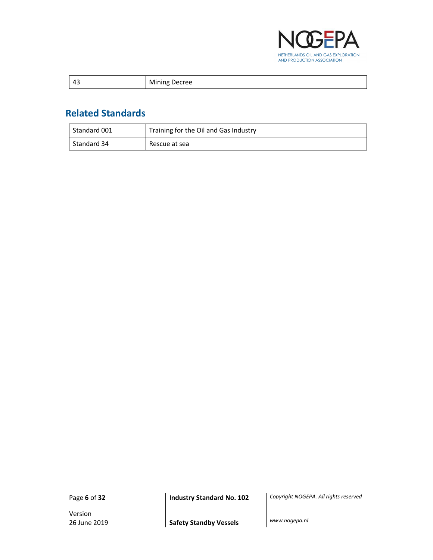

| $\sim$ | м<br>Jecree<br>טו<br>___ |
|--------|--------------------------|
|--------|--------------------------|

## Related Standards

| ' Standard 001 | Training for the Oil and Gas Industry |
|----------------|---------------------------------------|
| Standard 34    | Rescue at sea                         |

Version

Page 6 of 32 **Industry Standard No. 102** Copyright NOGEPA. All rights reserved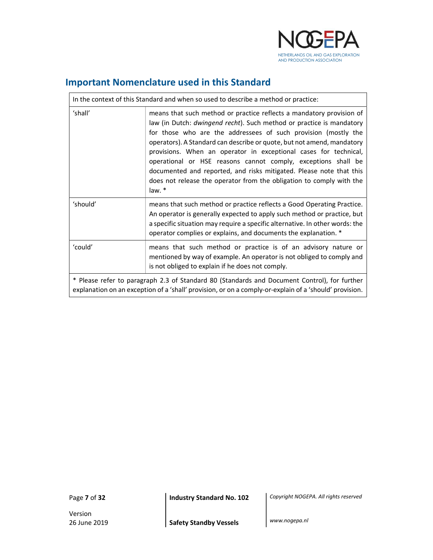

## Important Nomenclature used in this Standard

| In the context of this Standard and when so used to describe a method or practice:                                                                                                                     |                                                                                                                                                                                                                                                                                                                                                                                                                                                                                                                                                                                        |  |
|--------------------------------------------------------------------------------------------------------------------------------------------------------------------------------------------------------|----------------------------------------------------------------------------------------------------------------------------------------------------------------------------------------------------------------------------------------------------------------------------------------------------------------------------------------------------------------------------------------------------------------------------------------------------------------------------------------------------------------------------------------------------------------------------------------|--|
| 'shall'                                                                                                                                                                                                | means that such method or practice reflects a mandatory provision of<br>law (in Dutch: dwingend recht). Such method or practice is mandatory<br>for those who are the addressees of such provision (mostly the<br>operators). A Standard can describe or quote, but not amend, mandatory<br>provisions. When an operator in exceptional cases for technical,<br>operational or HSE reasons cannot comply, exceptions shall be<br>documented and reported, and risks mitigated. Please note that this<br>does not release the operator from the obligation to comply with the<br>law. * |  |
| 'should'                                                                                                                                                                                               | means that such method or practice reflects a Good Operating Practice.<br>An operator is generally expected to apply such method or practice, but<br>a specific situation may require a specific alternative. In other words: the<br>operator complies or explains, and documents the explanation. *                                                                                                                                                                                                                                                                                   |  |
| 'could'                                                                                                                                                                                                | means that such method or practice is of an advisory nature or<br>mentioned by way of example. An operator is not obliged to comply and<br>is not obliged to explain if he does not comply.                                                                                                                                                                                                                                                                                                                                                                                            |  |
| * Please refer to paragraph 2.3 of Standard 80 (Standards and Document Control), for further<br>explanation on an exception of a 'shall' provision, or on a comply-or-explain of a 'should' provision. |                                                                                                                                                                                                                                                                                                                                                                                                                                                                                                                                                                                        |  |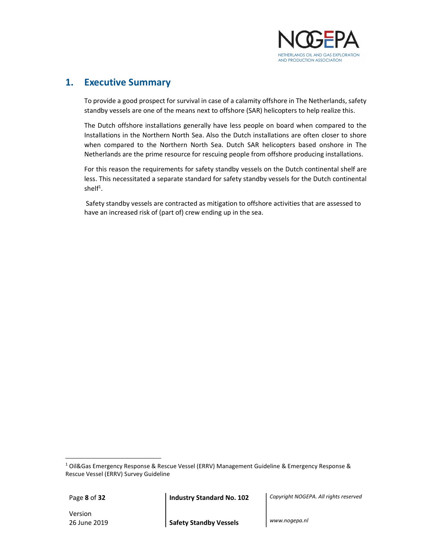

## 1. Executive Summary

 To provide a good prospect for survival in case of a calamity offshore in The Netherlands, safety standby vessels are one of the means next to offshore (SAR) helicopters to help realize this.

The Dutch offshore installations generally have less people on board when compared to the Installations in the Northern North Sea. Also the Dutch installations are often closer to shore when compared to the Northern North Sea. Dutch SAR helicopters based onshore in The Netherlands are the prime resource for rescuing people from offshore producing installations.

For this reason the requirements for safety standby vessels on the Dutch continental shelf are less. This necessitated a separate standard for safety standby vessels for the Dutch continental shel $f^1$ .

 Safety standby vessels are contracted as mitigation to offshore activities that are assessed to have an increased risk of (part of) crew ending up in the sea.

 $\overline{a}$ 

Version

Page 8 of 32 **Industry Standard No. 102** Copyright NOGEPA. All rights reserved

<sup>&</sup>lt;sup>1</sup> Oil&Gas Emergency Response & Rescue Vessel (ERRV) Management Guideline & Emergency Response & Rescue Vessel (ERRV) Survey Guideline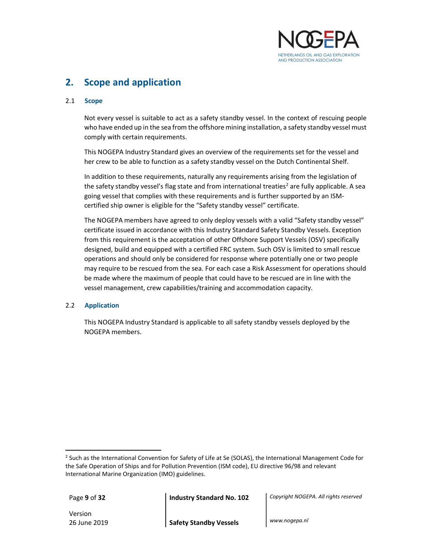

## 2. Scope and application

#### 2.1 Scope

Not every vessel is suitable to act as a safety standby vessel. In the context of rescuing people who have ended up in the sea from the offshore mining installation, a safety standby vessel must comply with certain requirements.

This NOGEPA Industry Standard gives an overview of the requirements set for the vessel and her crew to be able to function as a safety standby vessel on the Dutch Continental Shelf.

In addition to these requirements, naturally any requirements arising from the legislation of the safety standby vessel's flag state and from international treaties<sup>2</sup> are fully applicable. A sea going vessel that complies with these requirements and is further supported by an ISMcertified ship owner is eligible for the "Safety standby vessel" certificate.

The NOGEPA members have agreed to only deploy vessels with a valid "Safety standby vessel" certificate issued in accordance with this Industry Standard Safety Standby Vessels. Exception from this requirement is the acceptation of other Offshore Support Vessels (OSV) specifically designed, build and equipped with a certified FRC system. Such OSV is limited to small rescue operations and should only be considered for response where potentially one or two people may require to be rescued from the sea. For each case a Risk Assessment for operations should be made where the maximum of people that could have to be rescued are in line with the vessel management, crew capabilities/training and accommodation capacity.

#### 2.2 Application

 This NOGEPA Industry Standard is applicable to all safety standby vessels deployed by the NOGEPA members.

 $\overline{a}$ 

Page 9 of 32 **Industry Standard No. 102** Copyright NOGEPA. All rights reserved

Version

<sup>&</sup>lt;sup>2</sup> Such as the International Convention for Safety of Life at Se (SOLAS), the International Management Code for the Safe Operation of Ships and for Pollution Prevention (ISM code), EU directive 96/98 and relevant International Marine Organization (IMO) guidelines.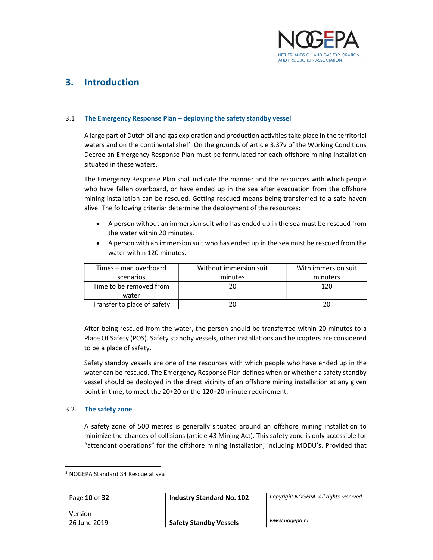

## 3. Introduction

#### 3.1 The Emergency Response Plan – deploying the safety standby vessel

 A large part of Dutch oil and gas exploration and production activities take place in the territorial waters and on the continental shelf. On the grounds of article 3.37v of the Working Conditions Decree an Emergency Response Plan must be formulated for each offshore mining installation situated in these waters.

The Emergency Response Plan shall indicate the manner and the resources with which people who have fallen overboard, or have ended up in the sea after evacuation from the offshore mining installation can be rescued. Getting rescued means being transferred to a safe haven alive. The following criteria<sup>3</sup> determine the deployment of the resources:

- A person without an immersion suit who has ended up in the sea must be rescued from the water within 20 minutes.
- A person with an immersion suit who has ended up in the sea must be rescued from the water within 120 minutes.

| Times – man overboard            | Without immersion suit | With immersion suit |
|----------------------------------|------------------------|---------------------|
| scenarios                        | minutes                | minuters            |
| Time to be removed from<br>water | 20                     | 120                 |
| Transfer to place of safety      |                        |                     |

After being rescued from the water, the person should be transferred within 20 minutes to a Place Of Safety (POS). Safety standby vessels, other installations and helicopters are considered to be a place of safety.

Safety standby vessels are one of the resources with which people who have ended up in the water can be rescued. The Emergency Response Plan defines when or whether a safety standby vessel should be deployed in the direct vicinity of an offshore mining installation at any given point in time, to meet the 20+20 or the 120+20 minute requirement.

#### 3.2 The safety zone

 A safety zone of 500 metres is generally situated around an offshore mining installation to minimize the chances of collisions (article 43 Mining Act). This safety zone is only accessible for "attendant operations" for the offshore mining installation, including MODU's. Provided that

l

Page 10 of 32 **Industry Standard No. 102** Copyright NOGEPA. All rights reserved

Version

<sup>3</sup> NOGEPA Standard 34 Rescue at sea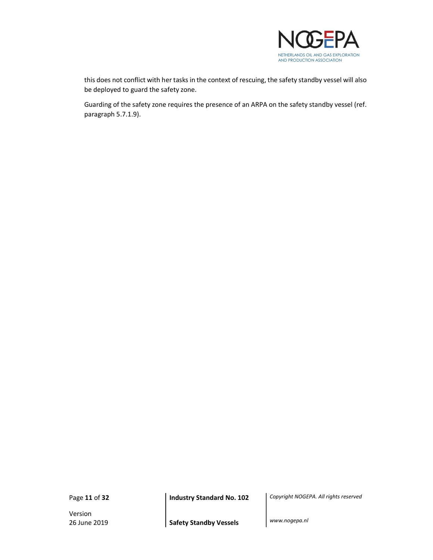

this does not conflict with her tasks in the context of rescuing, the safety standby vessel will also be deployed to guard the safety zone.

Guarding of the safety zone requires the presence of an ARPA on the safety standby vessel (ref. paragraph 5.7.1.9).

Version

Page 11 of 32 **Industry Standard No. 102** Copyright NOGEPA. All rights reserved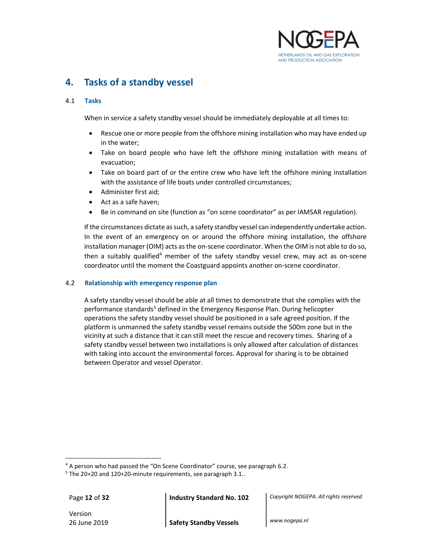

## 4. Tasks of a standby vessel

#### 4.1 Tasks

When in service a safety standby vessel should be immediately deployable at all times to:

- Rescue one or more people from the offshore mining installation who may have ended up in the water;
- Take on board people who have left the offshore mining installation with means of evacuation;
- Take on board part of or the entire crew who have left the offshore mining installation with the assistance of life boats under controlled circumstances;
- Administer first aid;
- Act as a safe haven;
- Be in command on site (function as "on scene coordinator" as per IAMSAR regulation).

If the circumstances dictate as such, a safety standby vessel can independently undertake action. In the event of an emergency on or around the offshore mining installation, the offshore installation manager (OIM) acts as the on-scene coordinator. When the OIM is not able to do so, then a suitably qualified<sup>4</sup> member of the safety standby vessel crew, may act as on-scene coordinator until the moment the Coastguard appoints another on-scene coordinator.

#### 4.2 Relationship with emergency response plan

A safety standby vessel should be able at all times to demonstrate that she complies with the performance standards<sup>5</sup> defined in the Emergency Response Plan. During helicopter operations the safety standby vessel should be positioned in a safe agreed position. If the platform is unmanned the safety standby vessel remains outside the 500m zone but in the vicinity at such a distance that it can still meet the rescue and recovery times. Sharing of a safety standby vessel between two installations is only allowed after calculation of distances with taking into account the environmental forces. Approval for sharing is to be obtained between Operator and vessel Operator.

 $\overline{a}$ 

Version

Page 12 of 32 **Industry Standard No. 102** Copyright NOGEPA. All rights reserved

<sup>&</sup>lt;sup>4</sup> A person who had passed the "On Scene Coordinator" course, see paragraph 6.2.

<sup>&</sup>lt;sup>5</sup> The 20+20 and 120+20-minute requirements, see paragraph 3.1..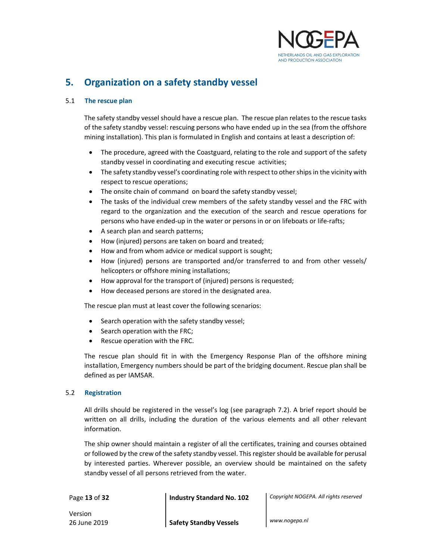

## 5. Organization on a safety standby vessel

#### 5.1 The rescue plan

 The safety standby vessel should have a rescue plan. The rescue plan relates to the rescue tasks of the safety standby vessel: rescuing persons who have ended up in the sea (from the offshore mining installation). This plan is formulated in English and contains at least a description of:

- The procedure, agreed with the Coastguard, relating to the role and support of the safety standby vessel in coordinating and executing rescue activities;
- The safety standby vessel's coordinating role with respect to other ships in the vicinity with respect to rescue operations;
- The onsite chain of command on board the safety standby vessel;
- The tasks of the individual crew members of the safety standby vessel and the FRC with regard to the organization and the execution of the search and rescue operations for persons who have ended-up in the water or persons in or on lifeboats or life-rafts;
- A search plan and search patterns;
- How (injured) persons are taken on board and treated;
- How and from whom advice or medical support is sought;
- How (injured) persons are transported and/or transferred to and from other vessels/ helicopters or offshore mining installations;
- How approval for the transport of (injured) persons is requested;
- How deceased persons are stored in the designated area.

The rescue plan must at least cover the following scenarios:

- Search operation with the safety standby vessel;
- Search operation with the FRC;
- Rescue operation with the FRC.

The rescue plan should fit in with the Emergency Response Plan of the offshore mining installation, Emergency numbers should be part of the bridging document. Rescue plan shall be defined as per IAMSAR.

#### 5.2 Registration

 All drills should be registered in the vessel's log (see paragraph 7.2). A brief report should be written on all drills, including the duration of the various elements and all other relevant information.

The ship owner should maintain a register of all the certificates, training and courses obtained or followed by the crew of the safety standby vessel. This register should be available for perusal by interested parties. Wherever possible, an overview should be maintained on the safety standby vessel of all persons retrieved from the water.

Page 13 of 32 **Industry Standard No. 102** Copyright NOGEPA. All rights reserved

Version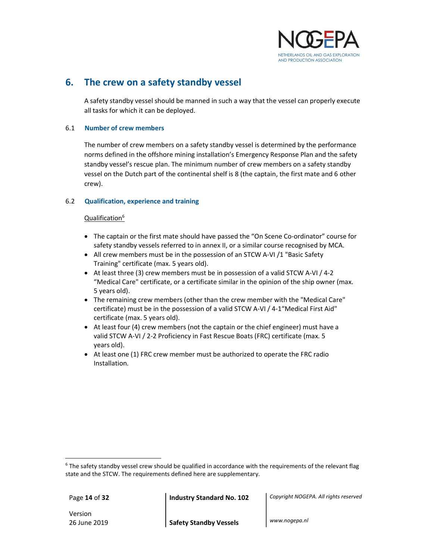

## 6. The crew on a safety standby vessel

A safety standby vessel should be manned in such a way that the vessel can properly execute all tasks for which it can be deployed.

#### 6.1 Number of crew members

The number of crew members on a safety standby vessel is determined by the performance norms defined in the offshore mining installation's Emergency Response Plan and the safety standby vessel's rescue plan. The minimum number of crew members on a safety standby vessel on the Dutch part of the continental shelf is 8 (the captain, the first mate and 6 other crew).

#### 6.2 Qualification, experience and training

#### Qualification<sup>6</sup>

- The captain or the first mate should have passed the "On Scene Co-ordinator" course for safety standby vessels referred to in annex II, or a similar course recognised by MCA.
- All crew members must be in the possession of an STCW A-VI /1 "Basic Safety Training" certificate (max. 5 years old).
- $\bullet$  At least three (3) crew members must be in possession of a valid STCW A-VI / 4-2 "Medical Care" certificate, or a certificate similar in the opinion of the ship owner (max. 5 years old).
- The remaining crew members (other than the crew member with the "Medical Care" certificate) must be in the possession of a valid STCW A-VI / 4-1"Medical First Aid" certificate (max. 5 years old).
- At least four (4) crew members (not the captain or the chief engineer) must have a valid STCW A-VI / 2-2 Proficiency in Fast Rescue Boats (FRC) certificate (max. 5 years old).
- At least one (1) FRC crew member must be authorized to operate the FRC radio Installation.

Version

 $\overline{a}$ 

Page 14 of 32 **Industry Standard No. 102** Copyright NOGEPA. All rights reserved

<sup>&</sup>lt;sup>6</sup> The safety standby vessel crew should be qualified in accordance with the requirements of the relevant flag state and the STCW. The requirements defined here are supplementary.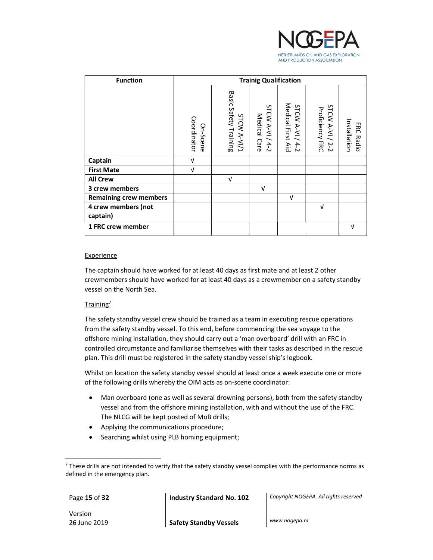

| <b>Function</b>               |                         |                                      | <b>Trainig Qualification</b>            |                                             |                                                      |                                |
|-------------------------------|-------------------------|--------------------------------------|-----------------------------------------|---------------------------------------------|------------------------------------------------------|--------------------------------|
|                               | Coordinator<br>On-Scene | Basic Safety Training<br>STCW A-VI/1 | STCW A-VI<br>Medical<br>Care<br>$4 - 2$ | Medical First Aid<br>STCW A-VI /<br>$4 - 2$ | STCW<br><b>Proficiency FRC</b><br>$A - V$<br>$2 - 2$ | Installation<br>ERC<br>: Radio |
| Captain                       | V                       |                                      |                                         |                                             |                                                      |                                |
| <b>First Mate</b>             | V                       |                                      |                                         |                                             |                                                      |                                |
| <b>All Crew</b>               |                         | V                                    |                                         |                                             |                                                      |                                |
| 3 crew members                |                         |                                      | V                                       |                                             |                                                      |                                |
| <b>Remaining crew members</b> |                         |                                      |                                         | $\sqrt{ }$                                  |                                                      |                                |
| 4 crew members (not           |                         |                                      |                                         |                                             | V                                                    |                                |
| captain)                      |                         |                                      |                                         |                                             |                                                      |                                |
| 1 FRC crew member             |                         |                                      |                                         |                                             |                                                      | V                              |

#### Experience

The captain should have worked for at least 40 days as first mate and at least 2 other crewmembers should have worked for at least 40 days as a crewmember on a safety standby vessel on the North Sea.

#### Training<sup>7</sup>

The safety standby vessel crew should be trained as a team in executing rescue operations from the safety standby vessel. To this end, before commencing the sea voyage to the offshore mining installation, they should carry out a 'man overboard' drill with an FRC in controlled circumstance and familiarise themselves with their tasks as described in the rescue plan. This drill must be registered in the safety standby vessel ship's logbook.

Whilst on location the safety standby vessel should at least once a week execute one or more of the following drills whereby the OIM acts as on-scene coordinator:

- Man overboard (one as well as several drowning persons), both from the safety standby vessel and from the offshore mining installation, with and without the use of the FRC. The NLCG will be kept posted of MoB drills;
- Applying the communications procedure;
- Searching whilst using PLB homing equipment;

 $\overline{a}$ 

Page 15 of 32 **Industry Standard No. 102** Copyright NOGEPA. All rights reserved

Version

<sup>&</sup>lt;sup>7</sup> These drills are <u>not</u> intended to verify that the safety standby vessel complies with the performance norms as defined in the emergency plan.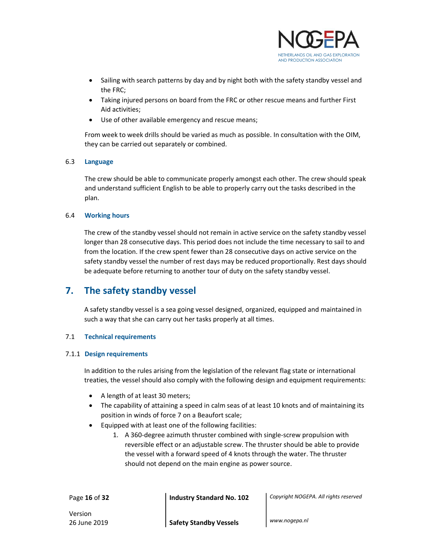

- Sailing with search patterns by day and by night both with the safety standby vessel and the FRC;
- Taking injured persons on board from the FRC or other rescue means and further First Aid activities;
- Use of other available emergency and rescue means;

From week to week drills should be varied as much as possible. In consultation with the OIM, they can be carried out separately or combined.

#### 6.3 Language

The crew should be able to communicate properly amongst each other. The crew should speak and understand sufficient English to be able to properly carry out the tasks described in the plan.

#### 6.4 Working hours

The crew of the standby vessel should not remain in active service on the safety standby vessel longer than 28 consecutive days. This period does not include the time necessary to sail to and from the location. If the crew spent fewer than 28 consecutive days on active service on the safety standby vessel the number of rest days may be reduced proportionally. Rest days should be adequate before returning to another tour of duty on the safety standby vessel.

## 7. The safety standby vessel

A safety standby vessel is a sea going vessel designed, organized, equipped and maintained in such a way that she can carry out her tasks properly at all times.

#### 7.1 Technical requirements

#### 7.1.1 Design requirements

In addition to the rules arising from the legislation of the relevant flag state or international treaties, the vessel should also comply with the following design and equipment requirements:

- A length of at least 30 meters;
- The capability of attaining a speed in calm seas of at least 10 knots and of maintaining its position in winds of force 7 on a Beaufort scale;
- Equipped with at least one of the following facilities:
	- 1. A 360-degree azimuth thruster combined with single-screw propulsion with reversible effect or an adjustable screw. The thruster should be able to provide the vessel with a forward speed of 4 knots through the water. The thruster should not depend on the main engine as power source.

Page 16 of 32 **Industry Standard No. 102** Copyright NOGEPA. All rights reserved

Version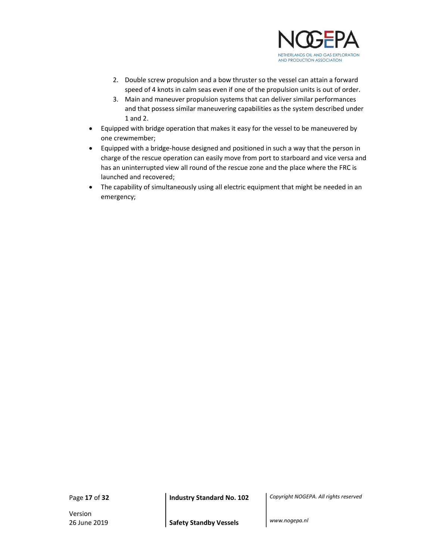

- 2. Double screw propulsion and a bow thruster so the vessel can attain a forward speed of 4 knots in calm seas even if one of the propulsion units is out of order.
- 3. Main and maneuver propulsion systems that can deliver similar performances and that possess similar maneuvering capabilities as the system described under 1 and 2.
- Equipped with bridge operation that makes it easy for the vessel to be maneuvered by one crewmember;
- Equipped with a bridge-house designed and positioned in such a way that the person in charge of the rescue operation can easily move from port to starboard and vice versa and has an uninterrupted view all round of the rescue zone and the place where the FRC is launched and recovered;
- The capability of simultaneously using all electric equipment that might be needed in an emergency;

Version

Page 17 of 32 **Industry Standard No. 102** Copyright NOGEPA. All rights reserved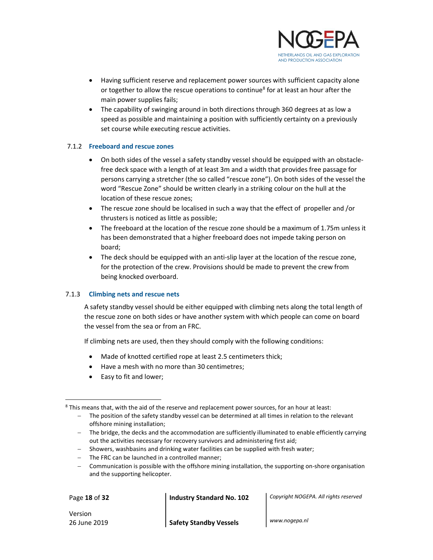

- Having sufficient reserve and replacement power sources with sufficient capacity alone or together to allow the rescue operations to continue<sup>8</sup> for at least an hour after the main power supplies fails;
- The capability of swinging around in both directions through 360 degrees at as low a speed as possible and maintaining a position with sufficiently certainty on a previously set course while executing rescue activities.

#### 7.1.2 Freeboard and rescue zones

- On both sides of the vessel a safety standby vessel should be equipped with an obstaclefree deck space with a length of at least 3m and a width that provides free passage for persons carrying a stretcher (the so called "rescue zone"). On both sides of the vessel the word "Rescue Zone" should be written clearly in a striking colour on the hull at the location of these rescue zones;
- The rescue zone should be localised in such a way that the effect of propeller and /or thrusters is noticed as little as possible;
- The freeboard at the location of the rescue zone should be a maximum of 1.75m unless it has been demonstrated that a higher freeboard does not impede taking person on board;
- The deck should be equipped with an anti-slip layer at the location of the rescue zone, for the protection of the crew. Provisions should be made to prevent the crew from being knocked overboard.

#### 7.1.3 Climbing nets and rescue nets

A safety standby vessel should be either equipped with climbing nets along the total length of the rescue zone on both sides or have another system with which people can come on board the vessel from the sea or from an FRC.

If climbing nets are used, then they should comply with the following conditions:

- Made of knotted certified rope at least 2.5 centimeters thick;
- Have a mesh with no more than 30 centimetres;
- Easy to fit and lower;

- Showers, washbasins and drinking water facilities can be supplied with fresh water;
- The FRC can be launched in a controlled manner;
- Communication is possible with the offshore mining installation, the supporting on-shore organisation and the supporting helicopter.

l

Page 18 of 32 **Industry Standard No. 102** Copyright NOGEPA. All rights reserved

Version

 $8$  This means that, with the aid of the reserve and replacement power sources, for an hour at least:

<sup>-</sup> The position of the safety standby vessel can be determined at all times in relation to the relevant offshore mining installation;

<sup>-</sup> The bridge, the decks and the accommodation are sufficiently illuminated to enable efficiently carrying out the activities necessary for recovery survivors and administering first aid;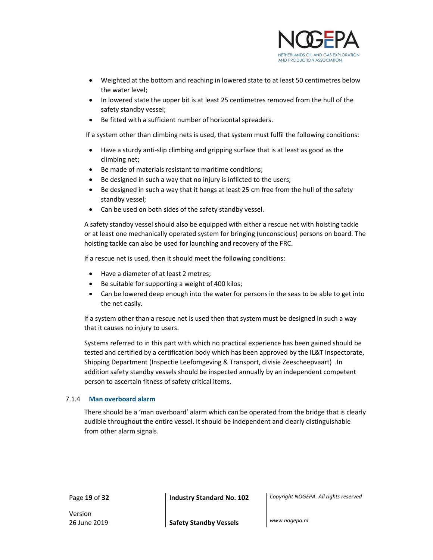

- Weighted at the bottom and reaching in lowered state to at least 50 centimetres below the water level;
- In lowered state the upper bit is at least 25 centimetres removed from the hull of the safety standby vessel;
- Be fitted with a sufficient number of horizontal spreaders.

If a system other than climbing nets is used, that system must fulfil the following conditions:

- Have a sturdy anti-slip climbing and gripping surface that is at least as good as the climbing net;
- Be made of materials resistant to maritime conditions;
- Be designed in such a way that no injury is inflicted to the users;
- Be designed in such a way that it hangs at least 25 cm free from the hull of the safety standby vessel;
- Can be used on both sides of the safety standby vessel.

A safety standby vessel should also be equipped with either a rescue net with hoisting tackle or at least one mechanically operated system for bringing (unconscious) persons on board. The hoisting tackle can also be used for launching and recovery of the FRC.

If a rescue net is used, then it should meet the following conditions:

- Have a diameter of at least 2 metres:
- Be suitable for supporting a weight of 400 kilos;
- Can be lowered deep enough into the water for persons in the seas to be able to get into the net easily.

If a system other than a rescue net is used then that system must be designed in such a way that it causes no injury to users.

Systems referred to in this part with which no practical experience has been gained should be tested and certified by a certification body which has been approved by the IL&T Inspectorate, Shipping Department (Inspectie Leefomgeving & Transport, divisie Zeescheepvaart) .In addition safety standby vessels should be inspected annually by an independent competent person to ascertain fitness of safety critical items.

#### 7.1.4 Man overboard alarm

There should be a 'man overboard' alarm which can be operated from the bridge that is clearly audible throughout the entire vessel. It should be independent and clearly distinguishable from other alarm signals.

Page 19 of 32 **Industry Standard No. 102** Copyright NOGEPA. All rights reserved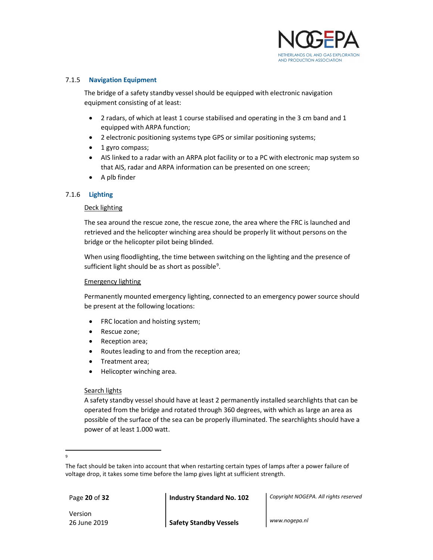

#### 7.1.5 Navigation Equipment

The bridge of a safety standby vessel should be equipped with electronic navigation equipment consisting of at least:

- 2 radars, of which at least 1 course stabilised and operating in the 3 cm band and 1 equipped with ARPA function;
- 2 electronic positioning systems type GPS or similar positioning systems;
- 1 gyro compass;
- AIS linked to a radar with an ARPA plot facility or to a PC with electronic map system so that AIS, radar and ARPA information can be presented on one screen;
- A plb finder

#### 7.1.6 Lighting

#### Deck lighting

The sea around the rescue zone, the rescue zone, the area where the FRC is launched and retrieved and the helicopter winching area should be properly lit without persons on the bridge or the helicopter pilot being blinded.

When using floodlighting, the time between switching on the lighting and the presence of sufficient light should be as short as possible<sup>9</sup>.

#### Emergency lighting

Permanently mounted emergency lighting, connected to an emergency power source should be present at the following locations:

- FRC location and hoisting system;
- Rescue zone;
- Reception area;
- Routes leading to and from the reception area;
- Treatment area;
- Helicopter winching area.

#### Search lights

A safety standby vessel should have at least 2 permanently installed searchlights that can be operated from the bridge and rotated through 360 degrees, with which as large an area as possible of the surface of the sea can be properly illuminated. The searchlights should have a power of at least 1.000 watt.

Version

Page 20 of 32 **Industry Standard No. 102** Copyright NOGEPA. All rights reserved

 $\overline{a}$ 9

The fact should be taken into account that when restarting certain types of lamps after a power failure of voltage drop, it takes some time before the lamp gives light at sufficient strength.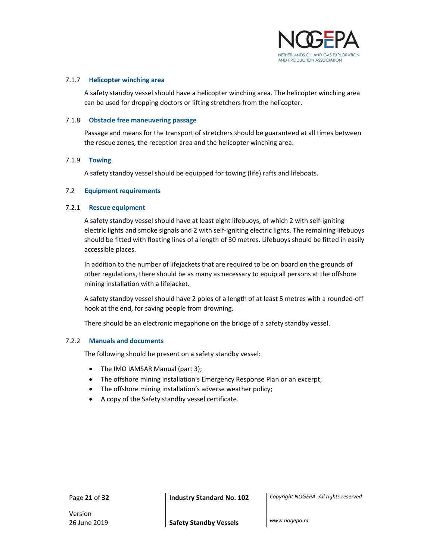

#### 7.1.7 Helicopter winching area

A safety standby vessel should have a helicopter winching area. The helicopter winching area can be used for dropping doctors or lifting stretchers from the helicopter.

#### 7.1.8 Obstacle free maneuvering passage

Passage and means for the transport of stretchers should be guaranteed at all times between the rescue zones, the reception area and the helicopter winching area.

#### 7.1.9 Towing

A safety standby vessel should be equipped for towing (life) rafts and lifeboats.

#### 7.2 Equipment requirements

#### 7.2.1 Rescue equipment

A safety standby vessel should have at least eight lifebuoys, of which 2 with self-igniting electric lights and smoke signals and 2 with self-igniting electric lights. The remaining lifebuoys should be fitted with floating lines of a length of 30 metres. Lifebuoys should be fitted in easily accessible places.

In addition to the number of lifejackets that are required to be on board on the grounds of other regulations, there should be as many as necessary to equip all persons at the offshore mining installation with a lifejacket.

A safety standby vessel should have 2 poles of a length of at least 5 metres with a rounded-off hook at the end, for saving people from drowning.

There should be an electronic megaphone on the bridge of a safety standby vessel.

#### 7.2.2 Manuals and documents

The following should be present on a safety standby vessel:

- The IMO IAMSAR Manual (part 3);
- The offshore mining installation's Emergency Response Plan or an excerpt;
- The offshore mining installation's adverse weather policy;
- A copy of the Safety standby vessel certificate.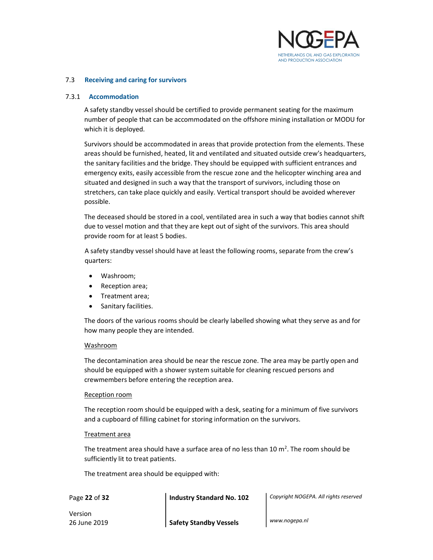

#### 7.3 Receiving and caring for survivors

#### 7.3.1 Accommodation

A safety standby vessel should be certified to provide permanent seating for the maximum number of people that can be accommodated on the offshore mining installation or MODU for which it is deployed.

Survivors should be accommodated in areas that provide protection from the elements. These areas should be furnished, heated, lit and ventilated and situated outside crew's headquarters, the sanitary facilities and the bridge. They should be equipped with sufficient entrances and emergency exits, easily accessible from the rescue zone and the helicopter winching area and situated and designed in such a way that the transport of survivors, including those on stretchers, can take place quickly and easily. Vertical transport should be avoided wherever possible.

The deceased should be stored in a cool, ventilated area in such a way that bodies cannot shift due to vessel motion and that they are kept out of sight of the survivors. This area should provide room for at least 5 bodies.

A safety standby vessel should have at least the following rooms, separate from the crew's quarters:

- Washroom;
- Reception area;
- Treatment area;
- Sanitary facilities.

The doors of the various rooms should be clearly labelled showing what they serve as and for how many people they are intended.

#### Washroom

The decontamination area should be near the rescue zone. The area may be partly open and should be equipped with a shower system suitable for cleaning rescued persons and crewmembers before entering the reception area.

#### Reception room

The reception room should be equipped with a desk, seating for a minimum of five survivors and a cupboard of filling cabinet for storing information on the survivors.

#### Treatment area

The treatment area should have a surface area of no less than 10  $m^2$ . The room should be sufficiently lit to treat patients.

The treatment area should be equipped with:

Page 22 of 32 **Industry Standard No. 102** Copyright NOGEPA. All rights reserved

Version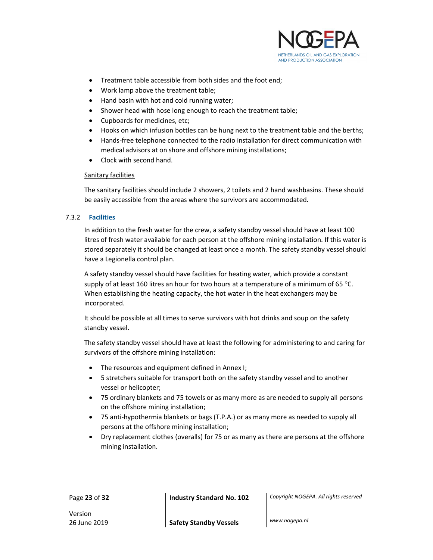

- Treatment table accessible from both sides and the foot end;
- Work lamp above the treatment table;
- Hand basin with hot and cold running water;
- Shower head with hose long enough to reach the treatment table;
- Cupboards for medicines, etc;
- Hooks on which infusion bottles can be hung next to the treatment table and the berths;
- Hands-free telephone connected to the radio installation for direct communication with medical advisors at on shore and offshore mining installations;
- Clock with second hand.

#### Sanitary facilities

The sanitary facilities should include 2 showers, 2 toilets and 2 hand washbasins. These should be easily accessible from the areas where the survivors are accommodated.

#### 7.3.2 Facilities

In addition to the fresh water for the crew, a safety standby vessel should have at least 100 litres of fresh water available for each person at the offshore mining installation. If this water is stored separately it should be changed at least once a month. The safety standby vessel should have a Legionella control plan.

A safety standby vessel should have facilities for heating water, which provide a constant supply of at least 160 litres an hour for two hours at a temperature of a minimum of 65 °C. When establishing the heating capacity, the hot water in the heat exchangers may be incorporated.

It should be possible at all times to serve survivors with hot drinks and soup on the safety standby vessel.

The safety standby vessel should have at least the following for administering to and caring for survivors of the offshore mining installation:

- The resources and equipment defined in Annex I;
- 5 stretchers suitable for transport both on the safety standby vessel and to another vessel or helicopter;
- 75 ordinary blankets and 75 towels or as many more as are needed to supply all persons on the offshore mining installation;
- 75 anti-hypothermia blankets or bags (T.P.A.) or as many more as needed to supply all persons at the offshore mining installation;
- Dry replacement clothes (overalls) for 75 or as many as there are persons at the offshore mining installation.

Page 23 of 32 **Industry Standard No. 102** Copyright NOGEPA. All rights reserved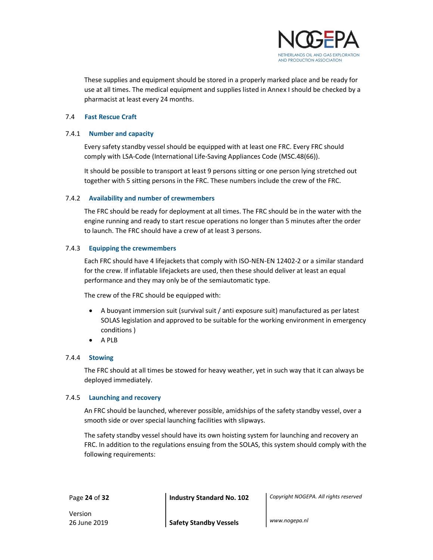

These supplies and equipment should be stored in a properly marked place and be ready for use at all times. The medical equipment and supplies listed in Annex I should be checked by a pharmacist at least every 24 months.

#### 7.4 Fast Rescue Craft

#### 7.4.1 Number and capacity

Every safety standby vessel should be equipped with at least one FRC. Every FRC should comply with LSA-Code (International Life-Saving Appliances Code (MSC.48(66)).

It should be possible to transport at least 9 persons sitting or one person lying stretched out together with 5 sitting persons in the FRC. These numbers include the crew of the FRC.

#### 7.4.2 Availability and number of crewmembers

The FRC should be ready for deployment at all times. The FRC should be in the water with the engine running and ready to start rescue operations no longer than 5 minutes after the order to launch. The FRC should have a crew of at least 3 persons.

#### 7.4.3 Equipping the crewmembers

Each FRC should have 4 lifejackets that comply with ISO-NEN-EN 12402-2 or a similar standard for the crew. If inflatable lifejackets are used, then these should deliver at least an equal performance and they may only be of the semiautomatic type.

The crew of the FRC should be equipped with:

- A buoyant immersion suit (survival suit / anti exposure suit) manufactured as per latest SOLAS legislation and approved to be suitable for the working environment in emergency conditions )
- A PLB

#### 7.4.4 Stowing

The FRC should at all times be stowed for heavy weather, yet in such way that it can always be deployed immediately.

#### 7.4.5 Launching and recovery

An FRC should be launched, wherever possible, amidships of the safety standby vessel, over a smooth side or over special launching facilities with slipways.

The safety standby vessel should have its own hoisting system for launching and recovery an FRC. In addition to the regulations ensuing from the SOLAS, this system should comply with the following requirements:

Page 24 of 32 **Industry Standard No. 102** Copyright NOGEPA. All rights reserved

Version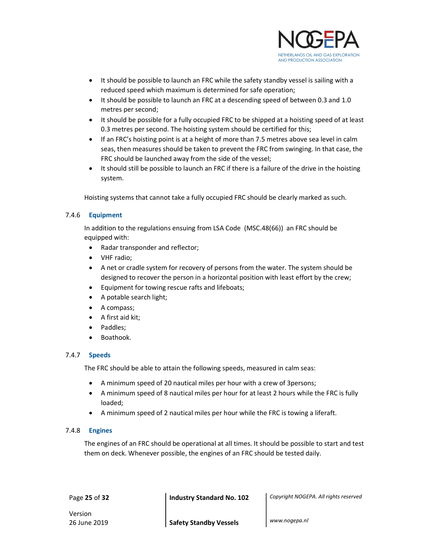

- It should be possible to launch an FRC while the safety standby vessel is sailing with a reduced speed which maximum is determined for safe operation;
- It should be possible to launch an FRC at a descending speed of between 0.3 and 1.0 metres per second;
- It should be possible for a fully occupied FRC to be shipped at a hoisting speed of at least 0.3 metres per second. The hoisting system should be certified for this;
- If an FRC's hoisting point is at a height of more than 7.5 metres above sea level in calm seas, then measures should be taken to prevent the FRC from swinging. In that case, the FRC should be launched away from the side of the vessel;
- It should still be possible to launch an FRC if there is a failure of the drive in the hoisting system.

Hoisting systems that cannot take a fully occupied FRC should be clearly marked as such.

#### 7.4.6 Equipment

In addition to the regulations ensuing from LSA Code (MSC.48(66)) an FRC should be equipped with:

- Radar transponder and reflector;
- VHF radio;
- A net or cradle system for recovery of persons from the water. The system should be designed to recover the person in a horizontal position with least effort by the crew;
- Equipment for towing rescue rafts and lifeboats;
- A potable search light;
- A compass;
- $\bullet$  A first aid kit:
- Paddles;
- Boathook.

#### 7.4.7 Speeds

The FRC should be able to attain the following speeds, measured in calm seas:

- A minimum speed of 20 nautical miles per hour with a crew of 3persons;
- A minimum speed of 8 nautical miles per hour for at least 2 hours while the FRC is fully loaded;
- A minimum speed of 2 nautical miles per hour while the FRC is towing a liferaft.

#### 7.4.8 Engines

The engines of an FRC should be operational at all times. It should be possible to start and test them on deck. Whenever possible, the engines of an FRC should be tested daily.

Page 25 of 32 **Industry Standard No. 102** Copyright NOGEPA. All rights reserved

Version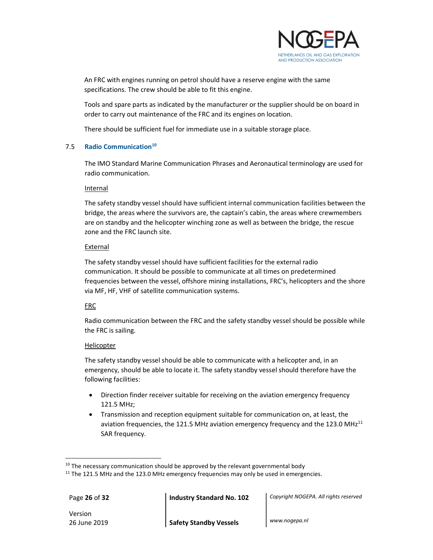

An FRC with engines running on petrol should have a reserve engine with the same specifications. The crew should be able to fit this engine.

Tools and spare parts as indicated by the manufacturer or the supplier should be on board in order to carry out maintenance of the FRC and its engines on location.

There should be sufficient fuel for immediate use in a suitable storage place.

#### 7.5 Radio Communication<sup>10</sup>

The IMO Standard Marine Communication Phrases and Aeronautical terminology are used for radio communication.

#### Internal

The safety standby vessel should have sufficient internal communication facilities between the bridge, the areas where the survivors are, the captain's cabin, the areas where crewmembers are on standby and the helicopter winching zone as well as between the bridge, the rescue zone and the FRC launch site.

#### External

The safety standby vessel should have sufficient facilities for the external radio communication. It should be possible to communicate at all times on predetermined frequencies between the vessel, offshore mining installations, FRC's, helicopters and the shore via MF, HF, VHF of satellite communication systems.

#### FRC

Radio communication between the FRC and the safety standby vessel should be possible while the FRC is sailing.

#### Helicopter

The safety standby vessel should be able to communicate with a helicopter and, in an emergency, should be able to locate it. The safety standby vessel should therefore have the following facilities:

- Direction finder receiver suitable for receiving on the aviation emergency frequency 121.5 MHz;
- Transmission and reception equipment suitable for communication on, at least, the aviation frequencies, the 121.5 MHz aviation emergency frequency and the 123.0 MH $z^{11}$ SAR frequency.

 $\overline{a}$ 

Page 26 of 32 **Industry Standard No. 102** Copyright NOGEPA. All rights reserved

Version

 $10$  The necessary communication should be approved by the relevant governmental body

<sup>&</sup>lt;sup>11</sup> The 121.5 MHz and the 123.0 MHz emergency frequencies may only be used in emergencies.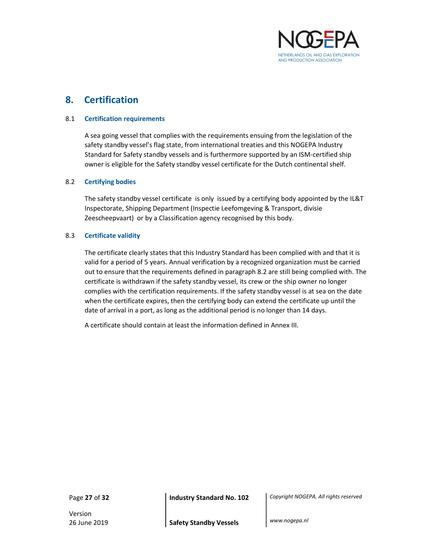

## 8. Certification

#### 8.1 Certification requirements

A sea going vessel that complies with the requirements ensuing from the legislation of the safety standby vessel's flag state, from international treaties and this NOGEPA Industry Standard for Safety standby vessels and is furthermore supported by an ISM-certified ship owner is eligible for the Safety standby vessel certificate for the Dutch continental shelf.

#### 8.2 Certifying bodies

The safety standby vessel certificate is only issued by a certifying body appointed by the IL&T Inspectorate, Shipping Department (Inspectie Leefomgeving & Transport, divisie Zeescheepvaart) or by a Classification agency recognised by this body.

#### 8.3 Certificate validity

The certificate clearly states that this Industry Standard has been complied with and that it is valid for a period of 5 years. Annual verification by a recognized organization must be carried out to ensure that the requirements defined in paragraph 8.2 are still being complied with. The certificate is withdrawn if the safety standby vessel, its crew or the ship owner no longer complies with the certification requirements. If the safety standby vessel is at sea on the date when the certificate expires, then the certifying body can extend the certificate up until the date of arrival in a port, as long as the additional period is no longer than 14 days.

A certificate should contain at least the information defined in Annex III.

Version

Page 27 of 32 **Industry Standard No. 102** Copyright NOGEPA. All rights reserved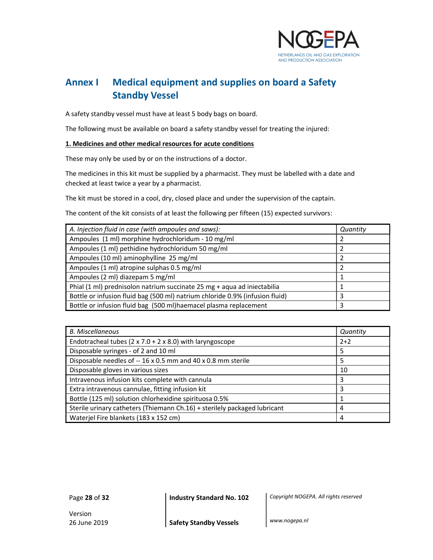

## Annex I Medical equipment and supplies on board a Safety Standby Vessel

A safety standby vessel must have at least 5 body bags on board.

The following must be available on board a safety standby vessel for treating the injured:

#### 1. Medicines and other medical resources for acute conditions

These may only be used by or on the instructions of a doctor.

The medicines in this kit must be supplied by a pharmacist. They must be labelled with a date and checked at least twice a year by a pharmacist.

The kit must be stored in a cool, dry, closed place and under the supervision of the captain.

The content of the kit consists of at least the following per fifteen (15) expected survivors:

| A. Injection fluid in case (with ampoules and saws):                         | Quantity |
|------------------------------------------------------------------------------|----------|
| Ampoules (1 ml) morphine hydrochloridum - 10 mg/ml                           |          |
| Ampoules (1 ml) pethidine hydrochloridum 50 mg/ml                            |          |
| Ampoules (10 ml) aminophylline 25 mg/ml                                      |          |
| Ampoules (1 ml) atropine sulphas 0.5 mg/ml                                   |          |
| Ampoules (2 ml) diazepam 5 mg/ml                                             |          |
| Phial (1 ml) prednisolon natrium succinate 25 mg + aqua ad iniectabilia      |          |
| Bottle or infusion fluid bag (500 ml) natrium chloride 0.9% (infusion fluid) |          |
| Bottle or infusion fluid bag (500 ml) haemacel plasma replacement            | 3        |

| <b>B.</b> Miscellaneous                                                   | Quantity |
|---------------------------------------------------------------------------|----------|
| Endotracheal tubes ( $2 \times 7.0 + 2 \times 8.0$ ) with laryngoscope    | $2+2$    |
| Disposable syringes - of 2 and 10 ml                                      | 5        |
| Disposable needles of -- 16 x 0.5 mm and 40 x 0.8 mm sterile              | 5        |
| Disposable gloves in various sizes                                        | 10       |
| Intravenous infusion kits complete with cannula                           | 3        |
| Extra intravenous cannulae, fitting infusion kit                          | 3        |
| Bottle (125 ml) solution chlorhexidine spirituosa 0.5%                    |          |
| Sterile urinary catheters (Thiemann Ch.16) + sterilely packaged lubricant | 4        |
| Waterjel Fire blankets (183 x 152 cm)                                     | 4        |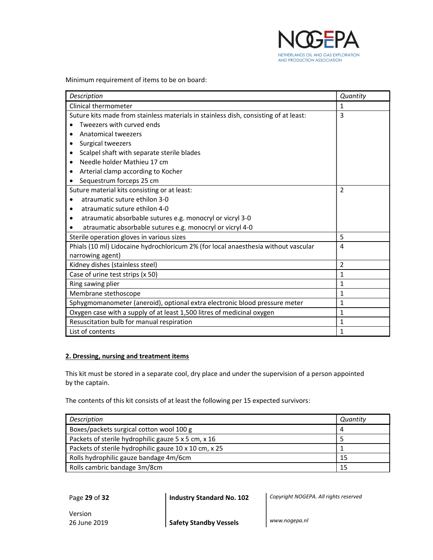

Minimum requirement of items to be on board:

| Description                                                                          | Quantity       |
|--------------------------------------------------------------------------------------|----------------|
| Clinical thermometer                                                                 | 1              |
| Suture kits made from stainless materials in stainless dish, consisting of at least: | 3              |
| Tweezers with curved ends                                                            |                |
| Anatomical tweezers                                                                  |                |
| Surgical tweezers<br>$\bullet$                                                       |                |
| Scalpel shaft with separate sterile blades                                           |                |
| Needle holder Mathieu 17 cm                                                          |                |
| Arterial clamp according to Kocher                                                   |                |
| Sequestrum forceps 25 cm                                                             |                |
| Suture material kits consisting or at least:                                         | $\overline{2}$ |
| atraumatic suture ethilon 3-0                                                        |                |
| atraumatic suture ethilon 4-0                                                        |                |
| atraumatic absorbable sutures e.g. monocryl or vicryl 3-0                            |                |
| atraumatic absorbable sutures e.g. monocryl or vicryl 4-0                            |                |
| Sterile operation gloves in various sizes                                            | 5              |
| Phials (10 ml) Lidocaine hydrochloricum 2% (for local anaesthesia without vascular   | 4              |
| narrowing agent)                                                                     |                |
| Kidney dishes (stainless steel)                                                      | $\overline{2}$ |
| Case of urine test strips (x 50)                                                     | $\mathbf{1}$   |
| Ring sawing plier                                                                    | $\mathbf{1}$   |
| Membrane stethoscope                                                                 | 1              |
| Sphygmomanometer (aneroid), optional extra electronic blood pressure meter           | $\mathbf{1}$   |
| Oxygen case with a supply of at least 1,500 litres of medicinal oxygen               | 1              |
| Resuscitation bulb for manual respiration                                            | $\mathbf{1}$   |
| List of contents                                                                     | $\mathbf{1}$   |

#### 2. Dressing, nursing and treatment items

This kit must be stored in a separate cool, dry place and under the supervision of a person appointed by the captain.

The contents of this kit consists of at least the following per 15 expected survivors:

| Description                                           | Quantity |
|-------------------------------------------------------|----------|
| Boxes/packets surgical cotton wool 100 g              |          |
| Packets of sterile hydrophilic gauze 5 x 5 cm, x 16   |          |
| Packets of sterile hydrophilic gauze 10 x 10 cm, x 25 |          |
| Rolls hydrophilic gauze bandage 4m/6cm                | 15       |
| Rolls cambric bandage 3m/8cm                          | 15       |

Page 29 of 32 **Industry Standard No. 102** Copyright NOGEPA. All rights reserved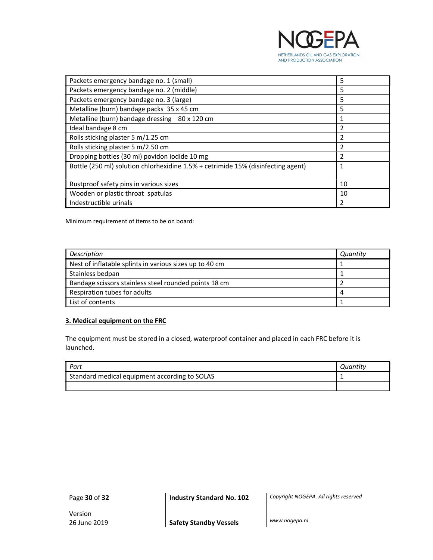

| Packets emergency bandage no. 1 (small)                                          | 5  |
|----------------------------------------------------------------------------------|----|
| Packets emergency bandage no. 2 (middle)                                         | 5  |
| Packets emergency bandage no. 3 (large)                                          | 5  |
| Metalline (burn) bandage packs 35 x 45 cm                                        | 5  |
| Metalline (burn) bandage dressing 80 x 120 cm                                    | 1  |
| Ideal bandage 8 cm                                                               |    |
| Rolls sticking plaster 5 m/1.25 cm                                               | 2  |
| Rolls sticking plaster 5 m/2.50 cm                                               | 2  |
| Dropping bottles (30 ml) povidon iodide 10 mg                                    |    |
| Bottle (250 ml) solution chlorhexidine 1.5% + cetrimide 15% (disinfecting agent) | 1  |
| Rustproof safety pins in various sizes                                           | 10 |
| Wooden or plastic throat spatulas                                                | 10 |
| Indestructible urinals                                                           |    |

Minimum requirement of items to be on board:

| Description                                             | Quantity |
|---------------------------------------------------------|----------|
| Nest of inflatable splints in various sizes up to 40 cm |          |
| Stainless bedpan                                        |          |
| Bandage scissors stainless steel rounded points 18 cm   |          |
| Respiration tubes for adults                            |          |
| List of contents                                        |          |

#### 3. Medical equipment on the FRC

The equipment must be stored in a closed, waterproof container and placed in each FRC before it is launched.

| Part                                          | Quantity |
|-----------------------------------------------|----------|
| Standard medical equipment according to SOLAS |          |
|                                               |          |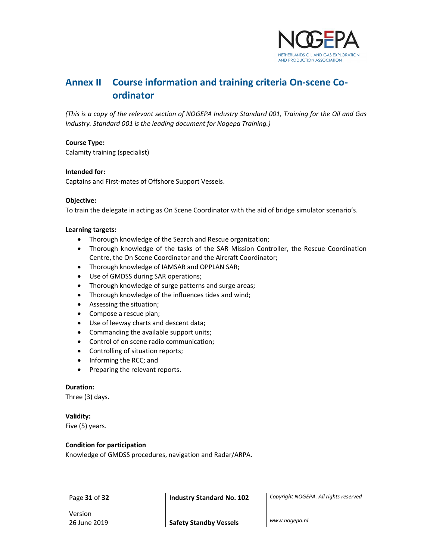

## Annex II Course information and training criteria On-scene Coordinator

(This is a copy of the relevant section of NOGEPA Industry Standard 001, Training for the Oil and Gas Industry. Standard 001 is the leading document for Nogepa Training.)

#### Course Type:

Calamity training (specialist)

#### Intended for:

Captains and First-mates of Offshore Support Vessels.

#### Objective:

To train the delegate in acting as On Scene Coordinator with the aid of bridge simulator scenario's.

#### Learning targets:

- Thorough knowledge of the Search and Rescue organization;
- Thorough knowledge of the tasks of the SAR Mission Controller, the Rescue Coordination Centre, the On Scene Coordinator and the Aircraft Coordinator;
- Thorough knowledge of IAMSAR and OPPLAN SAR;
- Use of GMDSS during SAR operations;
- Thorough knowledge of surge patterns and surge areas;
- Thorough knowledge of the influences tides and wind;
- Assessing the situation;
- Compose a rescue plan;
- Use of leeway charts and descent data;
- Commanding the available support units;
- Control of on scene radio communication;
- Controlling of situation reports;
- Informing the RCC; and
- Preparing the relevant reports.

#### Duration:

Three (3) days.

#### Validity:

Five (5) years.

#### Condition for participation

Knowledge of GMDSS procedures, navigation and Radar/ARPA.

Page 31 of 32 **Industry Standard No. 102** Copyright NOGEPA. All rights reserved

Version